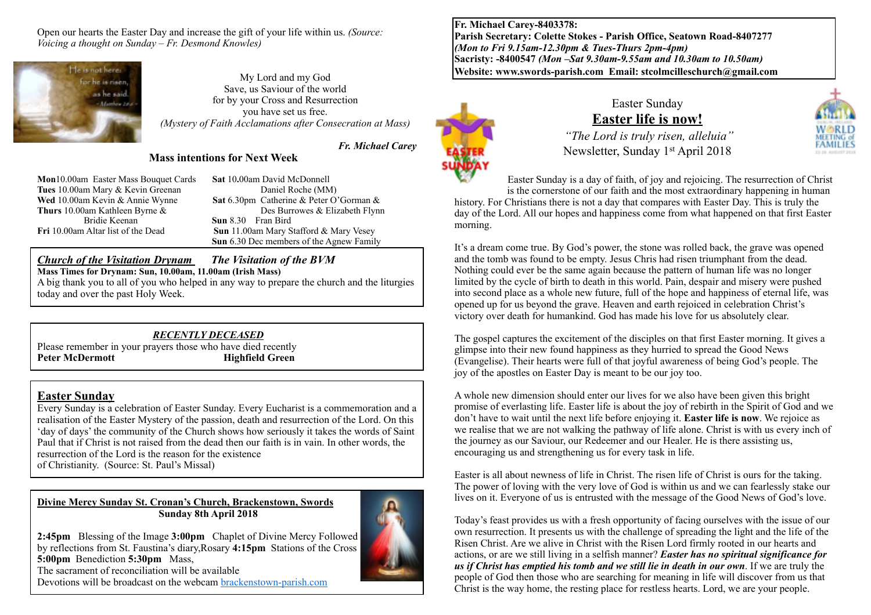Open our hearts the Easter Day and increase the gift of your life within us. *(Source: Voicing a thought on Sunday – Fr. Desmond Knowles)*



My Lord and my God Save, us Saviour of the world for by your Cross and Resurrection you have set us free. *(Mystery of Faith Acclamations after Consecration at Mass)*

*Fr. Michael Carey* 

## **Mass intentions for Next Week**

**Mon**10.00am Easter Mass Bouquet Cards **Sat** 10**.**00am David McDonnell **Tues** 10.00am Mary & Kevin Greenan Daniel Roche (MM)<br> **Wed** 10.00am Kevin & Annie Wynne **Sat** 6.30pm Catherine & Peter O'

**Sat** 6.30pm Catherine & Peter O'Gorman & **Thurs** 10.00am Kathleen Byrne & Des Burrowes & Elizabeth Flynn<br>Bridie Keenan **Sun** 8.30 Fran Bird **Sun** 8.30 Fran Bird **Fri** 10.00am Altar list of the Dead **Sun** 11.00am Mary Stafford & Mary Vesey **Sun** 6.30 Dec members of the Agnew Family

## *Church of the Visitation Drynam**The Visitation of the BVM*

**Mass Times for Drynam: Sun, 10.00am, 11.00am (Irish Mass)**

A big thank you to all of you who helped in any way to prepare the church and the liturgies today and over the past Holy Week.

#### *RECENTLY DECEASED*

Please remember in your prayers those who have died recently<br>**Peter McDermott** Highfield Green **Highfield Green** 

### **Easter Sunday**

Every Sunday is a celebration of Easter Sunday. Every Eucharist is a commemoration and a realisation of the Easter Mystery of the passion, death and resurrection of the Lord. On this 'day of days' the community of the Church shows how seriously it takes the words of Saint Paul that if Christ is not raised from the dead then our faith is in vain. In other words, the resurrection of the Lord is the reason for the existence of Christianity. (Source: St. Paul's Missal)

#### **Divine Mercy Sunday St. Cronan's Church, Brackenstown, Swords Sunday 8th April 2018**



**2:45pm** Blessing of the Image **3:00pm** Chaplet of Divine Mercy Followed by reflections from St. Faustina's diary,Rosary **4:15pm** Stations of the Cross **5:00pm** Benediction **5:30pm** Mass, The sacrament of reconciliation will be available Devotions will be broadcast on the webcam [brackenstown-parish.com](http://brackenstown-parish.com/%22%20%5Ct%20%22_blank)

**Fr. Michael Carey-8403378: Parish Secretary: Colette Stokes - Parish Office, Seatown Road-8407277**  *(Mon to Fri 9.15am-12.30pm & Tues-Thurs 2pm-4pm)*  **Sacristy: -8400547** *(Mon –Sat 9.30am-9.55am and 10.30am to 10.50am)* **Website: [www.swords-parish.com Email:](http://www.swords-parish.com%20%20email) stcolmcilleschurch@gmail.com**



morning.

## Easter Sunday **Easter life is now!**

 *"The Lord is truly risen, alleluia"*  Newsletter, Sunday 1st April 2018

Easter Sunday is a day of faith, of joy and rejoicing. The resurrection of Christ is the cornerstone of our faith and the most extraordinary happening in human history. For Christians there is not a day that compares with Easter Day. This is truly the day of the Lord. All our hopes and happiness come from what happened on that first Easter

It's a dream come true. By God's power, the stone was rolled back, the grave was opened and the tomb was found to be empty. Jesus Chris had risen triumphant from the dead. Nothing could ever be the same again because the pattern of human life was no longer limited by the cycle of birth to death in this world. Pain, despair and misery were pushed into second place as a whole new future, full of the hope and happiness of eternal life, was opened up for us beyond the grave. Heaven and earth rejoiced in celebration Christ's victory over death for humankind. God has made his love for us absolutely clear.

The gospel captures the excitement of the disciples on that first Easter morning. It gives a glimpse into their new found happiness as they hurried to spread the Good News (Evangelise). Their hearts were full of that joyful awareness of being God's people. The joy of the apostles on Easter Day is meant to be our joy too.

A whole new dimension should enter our lives for we also have been given this bright promise of everlasting life. Easter life is about the joy of rebirth in the Spirit of God and we don't have to wait until the next life before enjoying it. **Easter life is now**. We rejoice as we realise that we are not walking the pathway of life alone. Christ is with us every inch of the journey as our Saviour, our Redeemer and our Healer. He is there assisting us, encouraging us and strengthening us for every task in life.

Easter is all about newness of life in Christ. The risen life of Christ is ours for the taking. The power of loving with the very love of God is within us and we can fearlessly stake our lives on it. Everyone of us is entrusted with the message of the Good News of God's love.

Today's feast provides us with a fresh opportunity of facing ourselves with the issue of our own resurrection. It presents us with the challenge of spreading the light and the life of the Risen Christ. Are we alive in Christ with the Risen Lord firmly rooted in our hearts and actions, or are we still living in a selfish manner? *Easter has no spiritual significance for us if Christ has emptied his tomb and we still lie in death in our own*. If we are truly the people of God then those who are searching for meaning in life will discover from us that Christ is the way home, the resting place for restless hearts. Lord, we are your people.